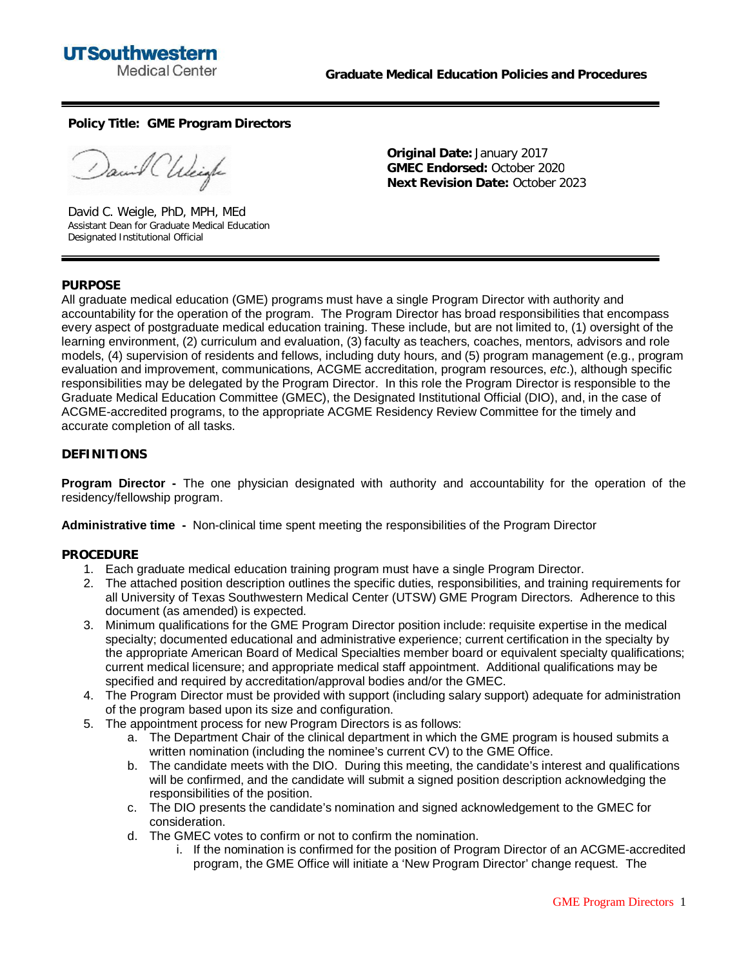

**Policy Title: GME Program Directors**

anil Chleigh

David C. Weigle, PhD, MPH, MEd Assistant Dean for Graduate Medical Education Designated Institutional Official

**Original Date:** January 2017 **GMEC Endorsed:** October 2020 **Next Revision Date:** October 2023

## **PURPOSE**

All graduate medical education (GME) programs must have a single Program Director with authority and accountability for the operation of the program. The Program Director has broad responsibilities that encompass every aspect of postgraduate medical education training. These include, but are not limited to, (1) oversight of the learning environment, (2) curriculum and evaluation, (3) faculty as teachers, coaches, mentors, advisors and role models, (4) supervision of residents and fellows, including duty hours, and (5) program management (e.g., program evaluation and improvement, communications, ACGME accreditation, program resources, *etc*.), although specific responsibilities may be delegated by the Program Director. In this role the Program Director is responsible to the Graduate Medical Education Committee (GMEC), the Designated Institutional Official (DIO), and, in the case of ACGME-accredited programs, to the appropriate ACGME Residency Review Committee for the timely and accurate completion of all tasks.

## **DEFINITIONS**

**Program Director -** The one physician designated with authority and accountability for the operation of the residency/fellowship program.

**Administrative time -** Non-clinical time spent meeting the responsibilities of the Program Director

## **PROCEDURE**

- 1. Each graduate medical education training program must have a single Program Director.
- 2. The attached position description outlines the specific duties, responsibilities, and training requirements for all University of Texas Southwestern Medical Center (UTSW) GME Program Directors. Adherence to this document (as amended) is expected.
- 3. Minimum qualifications for the GME Program Director position include: requisite expertise in the medical specialty; documented educational and administrative experience; current certification in the specialty by the appropriate American Board of Medical Specialties member board or equivalent specialty qualifications; current medical licensure; and appropriate medical staff appointment. Additional qualifications may be specified and required by accreditation/approval bodies and/or the GMEC.
- 4. The Program Director must be provided with support (including salary support) adequate for administration of the program based upon its size and configuration.
- 5. The appointment process for new Program Directors is as follows:
	- a. The Department Chair of the clinical department in which the GME program is housed submits a written nomination (including the nominee's current CV) to the GME Office.
	- b. The candidate meets with the DIO. During this meeting, the candidate's interest and qualifications will be confirmed, and the candidate will submit a signed position description acknowledging the responsibilities of the position.
	- c. The DIO presents the candidate's nomination and signed acknowledgement to the GMEC for consideration.
	- d. The GMEC votes to confirm or not to confirm the nomination.
		- i. If the nomination is confirmed for the position of Program Director of an ACGME-accredited program, the GME Office will initiate a 'New Program Director' change request. The